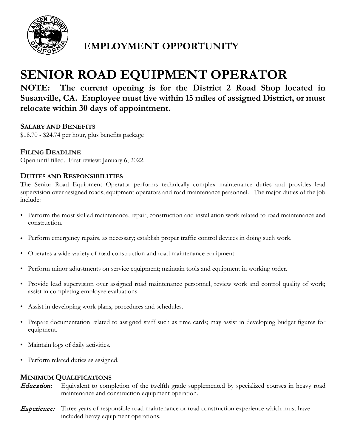

# **EMPLOYMENT OPPORTUNITY**

# **SENIOR ROAD EQUIPMENT OPERATOR**

**NOTE: The current opening is for the District 2 Road Shop located in Susanville, CA. Employee must live within 15 miles of assigned District, or must relocate within 30 days of appointment.** 

## **SALARY AND BENEFITS**

\$18.70 - \$24.74 per hour, plus benefits package

# **FILING DEADLINE**

Open until filled. First review: January 6, 2022.

### **DUTIES AND RESPONSIBILITIES**

The Senior Road Equipment Operator performs technically complex maintenance duties and provides lead supervision over assigned roads, equipment operators and road maintenance personnel. The major duties of the job include:

- Perform the most skilled maintenance, repair, construction and installation work related to road maintenance and construction.
- Perform emergency repairs, as necessary; establish proper traffic control devices in doing such work.
- Operates a wide variety of road construction and road maintenance equipment.
- Perform minor adjustments on service equipment; maintain tools and equipment in working order.
- Provide lead supervision over assigned road maintenance personnel, review work and control quality of work; assist in completing employee evaluations.
- Assist in developing work plans, procedures and schedules.
- Prepare documentation related to assigned staff such as time cards; may assist in developing budget figures for equipment.
- Maintain logs of daily activities.
- Perform related duties as assigned.

### **MINIMUM QUALIFICATIONS**

**Education:** Equivalent to completion of the twelfth grade supplemented by specialized courses in heavy road maintenance and construction equipment operation.

**Experience:** Three years of responsible road maintenance or road construction experience which must have included heavy equipment operations.